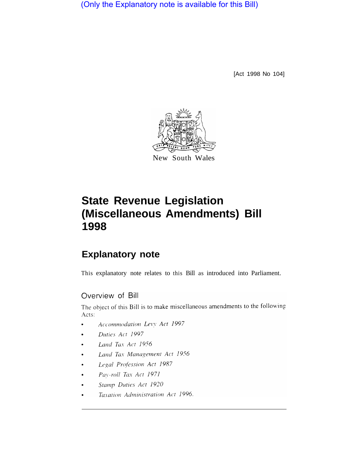(Only the Explanatory note is available for this Bill)

[Act 1998 No 104]



# **State Revenue Legislation (Miscellaneous Amendments) Bill 1998**

## **Explanatory note**

This explanatory note relates to this Bill as introduced into Parliament.

## Overview of Bill

The object of this Bill is to make miscellaneous amendments to the following Acts:

- Accommodation Levy Act 1997
- Duties Act 1997  $\bullet$
- Land Tax Act 1956
- Land Tax Management Act 1956
- Legal Profession Act 1987
- Pay-roll Tax Act 1971
- Stamp Duties Act 1920
- Taxation Administration Act 1996.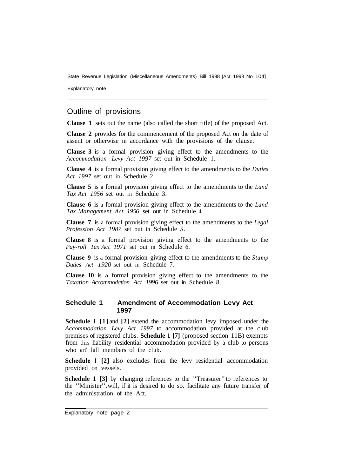Explanatory note

## Outline of provisions

**Clause 1** sets out the name (also called the short title) of the proposed Act.

**Clause 2** provides for the commencement of the proposed Act on the date of assent or otherwise in accordance with the provisions of the clause.

**Clause 3** is a formal provision giving effect to the amendments to the *Accommodation Levy Act 1997* set out in Schedule 1.

**Clause 4** is a formal provision giving effect to the amendments to the *Duties Act 1997* set out in Schedule 2.

**Clause 5** is a formal provision giving effect to the amendments to the *Land Tax Act 1956* set out in Schedule 3.

**Clause 6** is a formal provision giving effect to the amendments to the *Land Tax Management Act 1956* set out in Schedule 4.

**Clause 7** is a formal provision giving effect to the amendments to the *Legal Profession Act 1987* set out in Schedule *5.* 

**Clause 8** is a formal provision giving effect to the amendments to the *Pay-roll Tax Act 1971* set out in Schedule *6.* 

**Clause 9** is a formal provision giving effect to the amendments to the *Stamp Duties Act 1920* set out in Schedule 7.

**Clause 10** is a formal provision giving effect to the amendments to the *Taxation Accommodation Act 1996* set out in Schedule 8.

#### **Schedule 1 Amendment of Accommodation Levy Act 1997**

**Schedule 1 [1]** and **[2]** extend the accommodation levy imposed under the *Accommodation Levy Act 1997* to accommodation provided at the club premises of registered clubs. **Schedule 1 [7]** (proposed section 11B) exempts from this liability residential accommodation provided by a club to persons who art' full members of the club.

**Schedule** I **[2]** also excludes from the levy residential accommodation provided on vessels.

**Schedule 1 [3]** by changing references to the "Treasurer" to references to the "Minister". will, if it is desired to do so. facilitate any future transfer of the administration of the Act.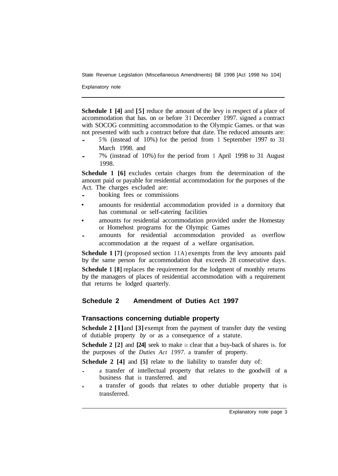Explanatory note

**Schedule 1 [4]** and **[5]** reduce the amount of the levy in respect of a place of accommodation that has. on or before 31 December 1997. signed a contract with SOCOG committing accommodation to the Olympic Games. or that was not presented with such a contract before that date. The reduced amounts are:

- *5%* (instead of 10%) for the period from 1 September 1997 to 31 March 1998. and
- 7% (instead of 10%) for the period from 1 April 1998 to 31 August 1998.

**Schedule 1 [6]** excludes certain charges from the determination of the amount paid or payable for residential accommodation for the purposes of the Act. The charges excluded are:

- booking fees or commissions
- amounts for residential accommodation provided in a dormitory that has communal or self-catering facilities
- amounts for residential accommodation provided under the Homestay or Homehost programs for the Olympic Games
- accommodation at the request of a welfare organisation. amounts for residential accommodation provided as overflow

**Schedule 1 [7]** (proposed section 11A) exempts from the levy amounts paid by the same person for accommodation that exceeds 28 consecutive days.

**Schedule 1 [8]** replaces the requirement for the lodgment of monthly returns by the managers of places of residential accommodation with a requirement that returns be lodged quarterly.

## **Schedule 2 Amendment of Duties Act 1997**

#### **Transactions concerning dutiable property**

**Schedule 2 [l]** and **[3]** exempt from the payment of transfer duty the vesting of dutiable property *by* or as a consequence of a statute.

**Schedule 2 [2]** and **[24]** seek to make it clear that a buy-back of shares is. for the purposes of the *Duties Act 1997.* a transfer of property.

**Schedule 2 [4]** and **[5]** relate to the liability to transfer duty of:

- a transfer of intellectual property that relates to the goodwill of a business that is transferred. and
- **<sup>m</sup>**a transfer of goods that relates to other dutiable property that is transferred.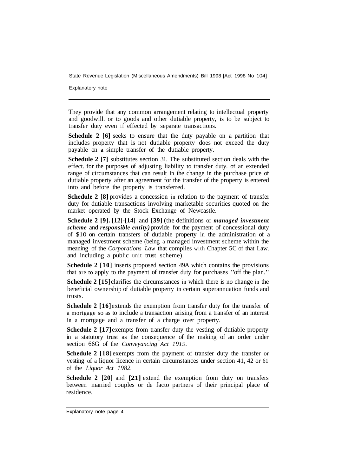Explanatory note

They provide that any common arrangement relating to intellectual property and goodwill. or to goods and other dutiable property, is to be subject to transfer duty even if effected by separate transactions.

**Schedule 2 [6]** seeks to ensure that the duty payable on a partition that includes property that is not dutiable property does not exceed the duty payable on **a** simple transfer of the dutiable property.

**Schedule 2 [7]** substitutes section 31. The substituted section deals with the effect. for the purposes of adjusting liability to transfer duty. of an extended range of circumstances that can result in the change in the purchase price of dutiable property after an agreement for the transfer of the property is entered into and before the property is transferred.

**Schedule 2 [8]** provides a concession in relation to the payment of transfer duty for dutiable transactions involving marketable securities quoted on the market operated by the Stock Exchange of Newcastle.

**Schedule 2 [9]. [12]-[14]** and **[39]** (the definitions of *managed investment scheme* and *responsible entity)* provide for the payment of concessional duty of \$10 on certain transfers of dutiable property in the administration of a managed investment scheme (being a managed investment scheme within the meaning of the *Corporations Law* that complies with Chapter 5C of that Law. and including a public unit trust scheme).

**Schedule 2 [10]** inserts proposed section 49A which contains the provisions that are to apply to the payment of transfer duty for purchases "off the plan."

**Schedule 2** [15] clarifies the circumstances in which there is no change in the beneficial ownership of dutiable property in certain superannuation funds and trusts.

**Schedule 2** [16] extends the exemption from transfer duty for the transfer of a mortgage so as to include a transaction arising from a transfer of an interest in a mortgage and a transfer of a charge over property.

**Schedule 2 [17]** exempts from transfer duty the vesting of dutiable property in a statutory trust as the consequence of the making of an order under section 66G of the *Conveyancing Act 1919.* 

**Schedule 2 [18]** exempts from the payment of transfer duty the transfer or vesting of a liquor licence in certain circumstances under section 41, 42 or 61 of the *Liquor Act 1982.* 

**Schedule 2 [20]** and **[21]** extend the exemption from duty on transfers between married couples or de facto partners of their principal place of residence.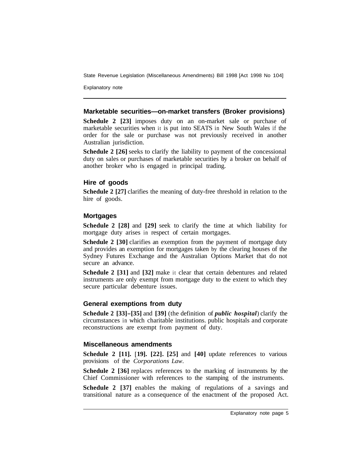Explanatory note

#### **Marketable securities—on-market transfers (Broker provisions)**

**Schedule 2 [23]** imposes duty on an on-market sale or purchase of marketable securities when it is put into SEATS in New South Wales if the order for the sale or purchase was not previously received in another Australian jurisdiction.

**Schedule 2 [26]** seeks to clarify the liability to payment of the concessional duty on sales or purchases of marketable securities by a broker on behalf of another broker who is engaged in principal trading.

#### **Hire of goods**

**Schedule 2 [27]** clarifies the meaning of duty-free threshold in relation to the hire of goods.

#### **Mortgages**

**Schedule 2 [28]** and **[29]** seek to clarify the time at which liability for mortgage duty arises in respect of certain mortgages.

**Schedule 2 [30] clarifies an exemption from the payment of mortgage duty** and provides an exemption for mortgages taken by the clearing houses of the Sydney Futures Exchange and the Australian Options Market that do not secure an advance.

**Schedule 2 [31]** and **[32]** make it clear that certain debentures and related instruments are only exempt from mortgage duty to the extent to which they secure particular debenture issues.

#### **General exemptions from duty**

**Schedule 2 [33]-[35]** and **[39]** (the definition of *public hospital*) clarify the circumstances in which charitable institutions. public hospitals and corporate reconstructions are exempt from payment of duty.

#### **Miscellaneous amendments**

**Schedule 2 [11].** [ **19]. [22]. [25]** and **[40]** update references to various provisions of the *Corporations Law*.

**Schedule 2 [36] replaces references to the marking of instruments by the** Chief Commissioner with references to the stamping of the instruments.

**Schedule 2 [37] enables the making of regulations of a savings and** transitional nature as a consequence of the enactment of the proposed Act.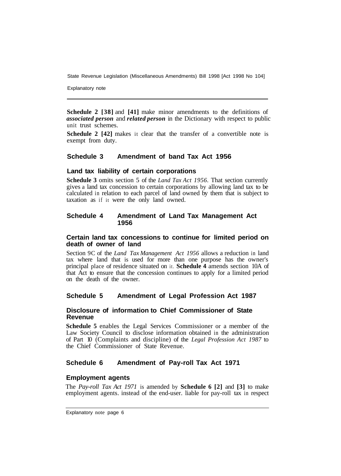Explanatory note

**Schedule 2 [38]** and **[41]** make minor amendments to the definitions of *associated person* and *related person* in the Dictionary with respect to public unit trust schemes.

**Schedule 2** [42] makes it clear that the transfer of a convertible note is exempt from duty.

#### **Schedule 3 Amendment of band Tax Act 1956**

#### **Land tax liability of certain corporations**

**Schedule 3** omits section 5 of the *Land Tax Act 1956.* That section currently gives a land tax concession to certain corporations by allowing land tax to be calculated in relation to each parcel of land owned by them that is subject to taxation as if it were the only land owned.

#### **Schedule 4 Amendment of Land Tax Management Act 1956**

#### **Certain land tax concessions to continue for limited period on death of owner of land**

Section 9C of the *Land Tax Management Act 1956* allows a reduction in land tax where land that is used for more than one purpose has the owner's principal place of residence situated on it. **Schedule 4** amends section 10A of that Act to ensure that the concession continues to apply for a limited period on the death of the owner.

#### **Schedule 5 Amendment of Legal Profession Act 1987**

#### **Disclosure of information to Chief Commissioner of State Revenue**

**Schedule 5** enables the Legal Services Commissioner or a member of the Law Society Council to disclose information obtained in the administration of Part 10 (Complaints and discipline) of the *Legal Profession Act 1987* to the Chief Commissioner of State Revenue.

#### **Schedule 6 Amendment of Pay-roll Tax Act 1971**

#### **Employment agents**

The *Pay-roll Tax Act 1971* is amended by **Schedule 6 [2]** and **[3]** to make employment agents. instead of the end-user. liable for pay-roll tax in respect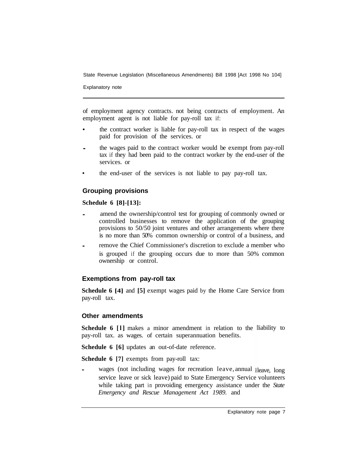Explanatory note

of employment agency contracts. not being contracts of employment. An employment agent is not liable for pay-roll tax if:

- the contract worker is liable for pay-roll tax in respect of the wages paid for provision of the services. or
- the wages paid to the contract worker would be exempt from pay-roll tax if they had been paid to the contract worker by the end-user of the services. or
- the end-user of the services is not liable to pay pay-roll tax.

## **Grouping provisions**

#### **Schedule 6 [8]-[13]:**

- amend the ownership/control test for grouping of commonly owned or controlled businesses to remove the application of the grouping provisions to 50/50 joint ventures and other arrangements where there is no more than 50% common ownership or control of a business, and
- remove the Chief Commissioner's discretion to exclude a member who is grouped if the grouping occurs due to more than 50% common ownership or control.

#### **Exemptions from pay-roll tax**

**Schedule 6 [4]** and **[5]** exempt wages paid by the Home Care Service from pay-roll tax.

#### **Other amendments**

Schedule 6 [1] makes a minor amendment in relation to the liability to pay-roll tax. as wages. of certain superannuation benefits.

**Schedule 6 [6] updates an out-of-date reference.** 

**Schedule 6 [7] exempts from pay-roll tax:** 

*•* wages (not including wages for recreation leave, annual leave, long service leave or sick leave) paid to State Emergency Service volunteers while taking part in provoiding emergency assistance under the *State Emergency and Rescue Management Act 1989.* and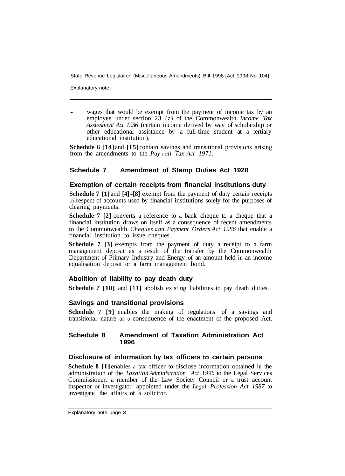Explanatory note

wages that would be exempt from the payment of income tax by an employee under section 23 (z) of the Commonwealth *Income Tax Assessment Act 1936* (certain income derived by way of scholarship or other educational assistance by a full-time student at a tertiary educational institution).

**Schedule 6 [14]** and **[15]** contain savings and transitional provisions arising from the amendments to the *Pay-roll Tax Act 1971.* 

### **Schedule 7 Amendment of Stamp Duties Act 1920**

#### **Exemption of certain receipts from financial institutions duty**

**Schedule 7 [1]** and **[4]-[8]** exempt from the payment of duty certain receipts in respect of accounts used by financial institutions solely for the purposes of clearing payments.

**Schedule 7 [2]** converts a reference to a bank cheque to a cheque that a financial institution draws on itself as a consequence of recent amendments to the Commonwealth *Cheques and Payment Orders Act 1986* that enable a financial institution to issue cheques.

**Schedule 7 [3]** exempts from the payment of duty a receipt to a farm management deposit as a result of the transfer by the Commonwealth Department of Primary Industry and Energy of an amount held in an income equalisation deposit or a farm management bond.

#### **Abolition of liability to pay death duty**

**Schedule** *7* **[10]** and **[11]** abolish existing liabilities to pay death duties.

#### **Savings and transitional provisions**

**Schedule 7 [9]** enables the making of regulations of a savings and transitional nature as a consequence of the enactment of the proposed Act.

#### **Schedule 8 Amendment of Taxation Administration Act 1996**

#### **Disclosure of information by tax officers to certain persons**

**Schedule 8 [l]** enables a tax officer to disclose information obtained in the administration of the *Taxation Administration Act 1996* to the Legal Services Commissioner. a member of the Law Society Council or a trust account inspector or investigator appointed under the *Legal Profession Act 1987* to investigate the affairs of a solicitor.